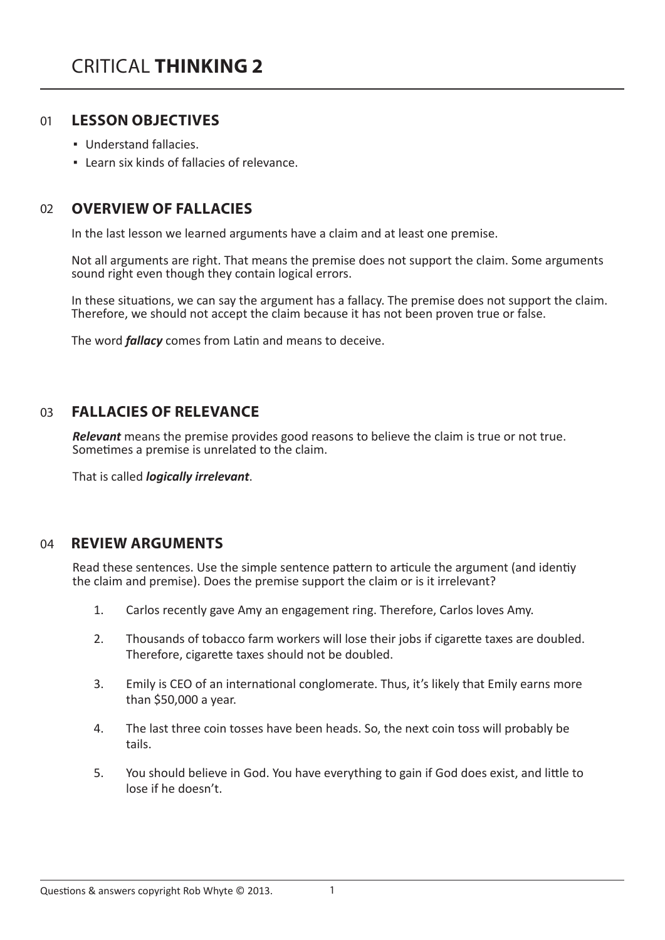#### **LESSON OBJECTIVES** 01

- Understand fallacies.
- Learn six kinds of fallacies of relevance.

#### **OVERVIEW OF FALLACIES** 02

In the last lesson we learned arguments have a claim and at least one premise.

Not all arguments are right. That means the premise does not support the claim. Some arguments sound right even though they contain logical errors.

In these situations, we can say the argument has a fallacy. The premise does not support the claim. Therefore, we should not accept the claim because it has not been proven true or false.

The word *fallacy* comes from Latin and means to deceive.

#### **FALLACIES OF RELEVANCE**  $03$

*Relevant* means the premise provides good reasons to believe the claim is true or not true. Sometimes a premise is unrelated to the claim.

That is called *logically irrelevant*.

# 04 **REVIEW ARGUMENTS**

Read these sentences. Use the simple sentence pattern to articule the argument (and identiy the claim and premise). Does the premise support the claim or is it irrelevant?

- 1. Carlos recently gave Amy an engagement ring. Therefore, Carlos loves Amy.
- 2. Thousands of tobacco farm workers will lose their jobs if cigarette taxes are doubled. Therefore, cigarette taxes should not be doubled.
- 3. Emily is CEO of an international conglomerate. Thus, it's likely that Emily earns more than \$50,000 a year.
- 4. The last three coin tosses have been heads. So, the next coin toss will probably be tails.
- 5. You should believe in God. You have everything to gain if God does exist, and little to lose if he doesn't.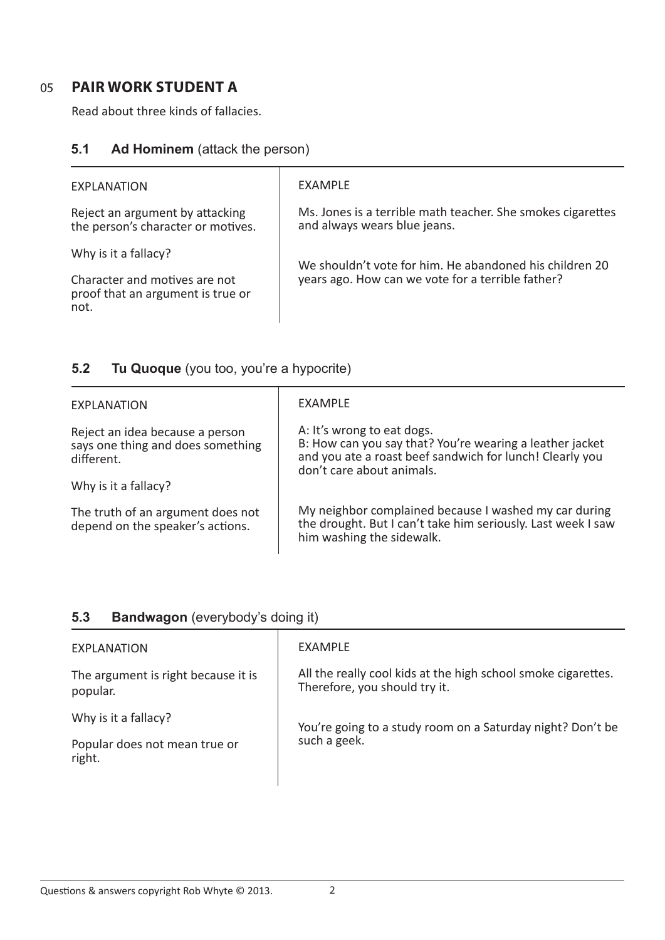# 05 **PAIR WORK STUDENT A**

Read about three kinds of fallacies.

### **5.1 Ad Hominem** (attack the person)

| EXPLANATION                                                                                | EXAMPLE                                                                                                      |
|--------------------------------------------------------------------------------------------|--------------------------------------------------------------------------------------------------------------|
| Reject an argument by attacking<br>the person's character or motives.                      | Ms. Jones is a terrible math teacher. She smokes cigarettes<br>and always wears blue jeans.                  |
| Why is it a fallacy?<br>Character and motives are not<br>proof that an argument is true or | We shouldn't vote for him. He abandoned his children 20<br>years ago. How can we vote for a terrible father? |
| not.                                                                                       |                                                                                                              |

# **5.2 Tu Quoque** (you too, you're a hypocrite)

| EXPLANATION                                                                        | EXAMPLE                                                                                                                                                                         |
|------------------------------------------------------------------------------------|---------------------------------------------------------------------------------------------------------------------------------------------------------------------------------|
| Reject an idea because a person<br>says one thing and does something<br>different. | A: It's wrong to eat dogs.<br>B: How can you say that? You're wearing a leather jacket<br>and you ate a roast beef sandwich for lunch! Clearly you<br>don't care about animals. |
| Why is it a fallacy?                                                               |                                                                                                                                                                                 |
| The truth of an argument does not<br>depend on the speaker's actions.              | My neighbor complained because I washed my car during<br>the drought. But I can't take him seriously. Last week I saw<br>him washing the sidewalk.                              |

### **5.3 Bandwagon** (everybody's doing it)

| EXAMPLE                                                                                        |
|------------------------------------------------------------------------------------------------|
| All the really cool kids at the high school smoke cigarettes.<br>Therefore, you should try it. |
| You're going to a study room on a Saturday night? Don't be<br>such a geek.                     |
|                                                                                                |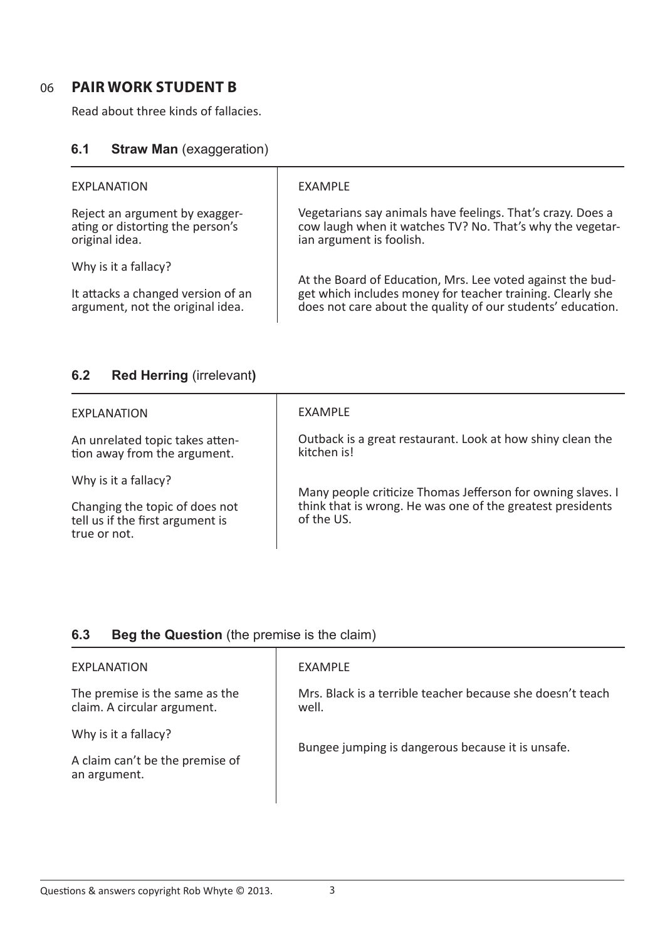### 06 **PAIR WORK STUDENT B**

Read about three kinds of fallacies.

### **6.1 Straw Man (exaggeration)**

| <b>EXPLANATION</b>                                                                   | EXAMPLE                                                                                                                                                                                 |
|--------------------------------------------------------------------------------------|-----------------------------------------------------------------------------------------------------------------------------------------------------------------------------------------|
| Reject an argument by exagger-<br>ating or distorting the person's<br>original idea. | Vegetarians say animals have feelings. That's crazy. Does a<br>cow laugh when it watches TV? No. That's why the vegetar-<br>ian argument is foolish.                                    |
| Why is it a fallacy?                                                                 | At the Board of Education, Mrs. Lee voted against the bud-<br>get which includes money for teacher training. Clearly she<br>does not care about the quality of our students' education. |
| It attacks a changed version of an<br>argument, not the original idea.               |                                                                                                                                                                                         |

# **6.2 Red Herring** (irrelevant**)**

| EXAMPLE                                                                                                                                 |
|-----------------------------------------------------------------------------------------------------------------------------------------|
| Outback is a great restaurant. Look at how shiny clean the<br>kitchen is!                                                               |
| Many people criticize Thomas Jefferson for owning slaves. I<br>think that is wrong. He was one of the greatest presidents<br>of the US. |
|                                                                                                                                         |

### **6.3 Beg the Question** (the premise is the claim)

| EXPLANATION                                                   | EXAMPLE                                                             |
|---------------------------------------------------------------|---------------------------------------------------------------------|
| The premise is the same as the<br>claim. A circular argument. | Mrs. Black is a terrible teacher because she doesn't teach<br>well. |
| Why is it a fallacy?                                          | Bungee jumping is dangerous because it is unsafe.                   |
| A claim can't be the premise of<br>an argument.               |                                                                     |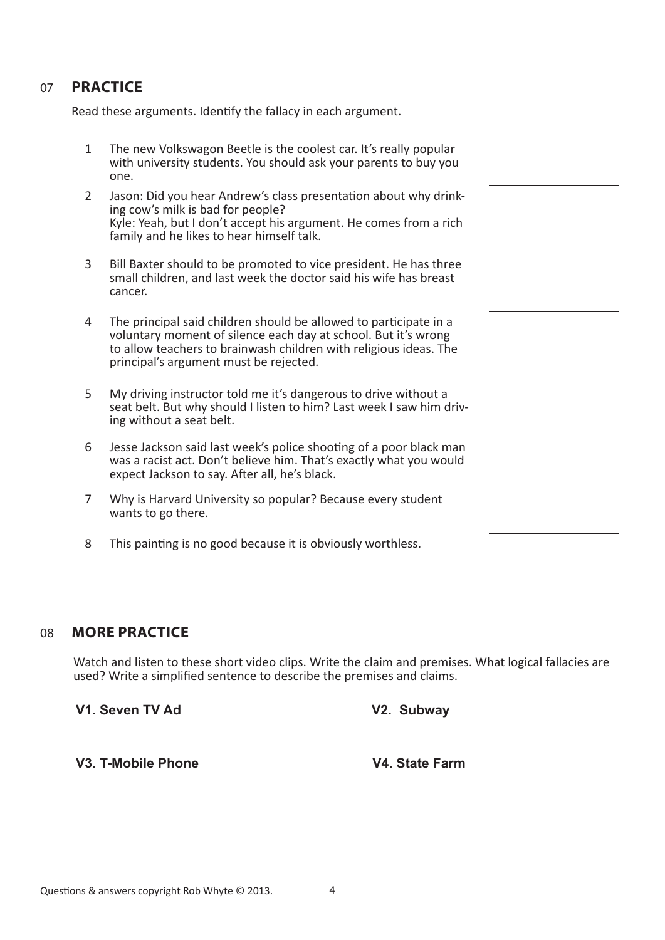### 07 **PRACTICE**

Read these arguments. Identify the fallacy in each argument.

- 1 The new Volkswagon Beetle is the coolest car. It's really popular with university students. You should ask your parents to buy you one.
- 2 Jason: Did you hear Andrew's class presentation about why drinking cow's milk is bad for people? Kyle: Yeah, but I don't accept his argument. He comes from a rich family and he likes to hear himself talk.
- 3 Bill Baxter should to be promoted to vice president. He has three small children, and last week the doctor said his wife has breast cancer.
- 4 The principal said children should be allowed to participate in a voluntary moment of silence each day at school. But it's wrong to allow teachers to brainwash children with religious ideas. The principal's argument must be rejected.
- 5 My driving instructor told me it's dangerous to drive without a seat belt. But why should I listen to him? Last week I saw him driving without a seat belt.
- 6 Jesse Jackson said last week's police shooting of a poor black man was a racist act. Don't believe him. That's exactly what you would expect Jackson to say. After all, he's black.
- 7 Why is Harvard University so popular? Because every student wants to go there.
- 8 This painting is no good because it is obviously worthless.

#### 08 **MORE PRACTICE**

Watch and listen to these short video clips. Write the claim and premises. What logical fallacies are used? Write a simplified sentence to describe the premises and claims.

**V1. Seven TV Ad V2. Subway**

**V3. T-Mobile Phone V4. State Farm**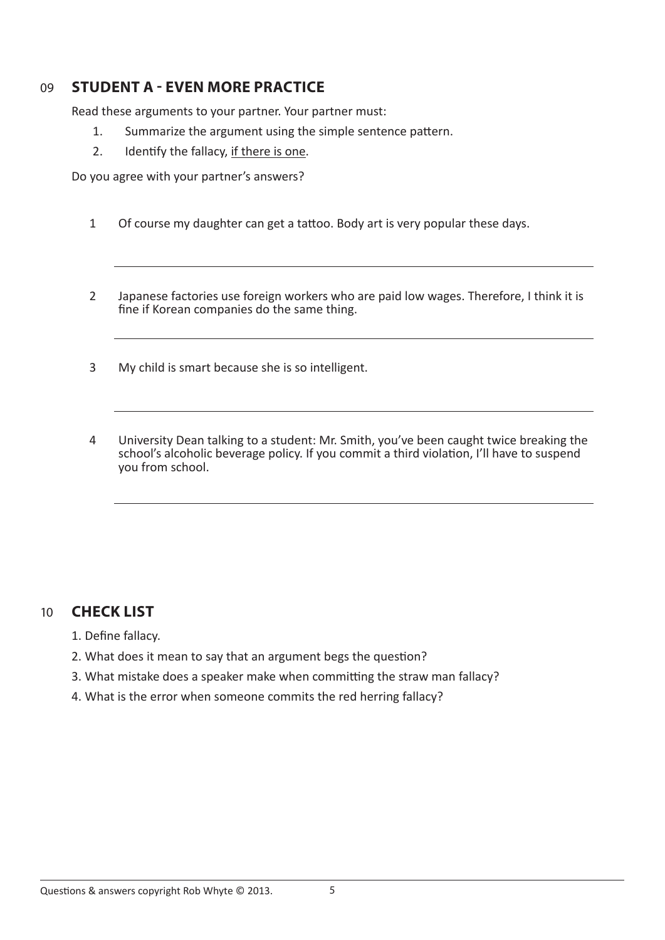# 09 **STUDENT A - EVEN MORE PRACTICE**

Read these arguments to your partner. Your partner must:

- 1. Summarize the argument using the simple sentence pattern.
- 2. Identify the fallacy, if there is one.

Do you agree with your partner's answers?

- 1 Of course my daughter can get a tattoo. Body art is very popular these days.
- 2 Japanese factories use foreign workers who are paid low wages. Therefore, I think it is fine if Korean companies do the same thing.
- 3 My child is smart because she is so intelligent.
- 4 University Dean talking to a student: Mr. Smith, you've been caught twice breaking the school's alcoholic beverage policy. If you commit a third violation, I'll have to suspend you from school.

# 10 **CHECK LIST**

- 1. Define fallacy.
- 2. What does it mean to say that an argument begs the question?
- 3. What mistake does a speaker make when committing the straw man fallacy?
- 4. What is the error when someone commits the red herring fallacy?